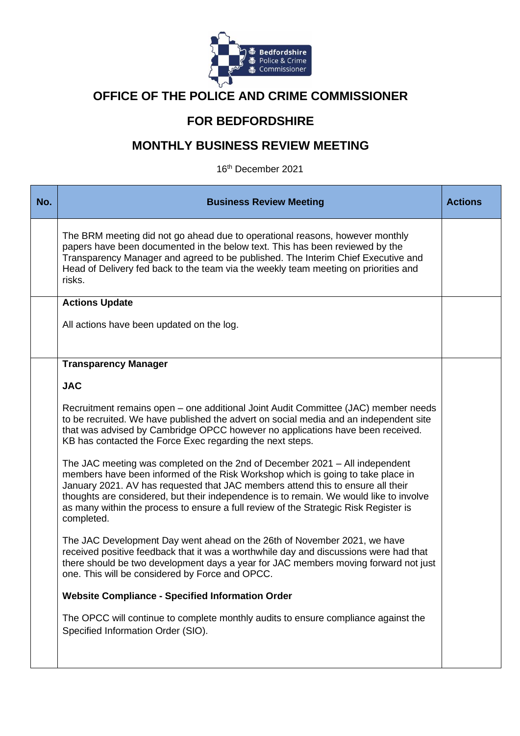

# **OFFICE OF THE POLICE AND CRIME COMMISSIONER**

# **FOR BEDFORDSHIRE**

# **MONTHLY BUSINESS REVIEW MEETING**

16th December 2021

| No. | <b>Business Review Meeting</b>                                                                                                                                                                                                                                                                                                                                                                                                                    | <b>Actions</b> |
|-----|---------------------------------------------------------------------------------------------------------------------------------------------------------------------------------------------------------------------------------------------------------------------------------------------------------------------------------------------------------------------------------------------------------------------------------------------------|----------------|
|     | The BRM meeting did not go ahead due to operational reasons, however monthly<br>papers have been documented in the below text. This has been reviewed by the<br>Transparency Manager and agreed to be published. The Interim Chief Executive and<br>Head of Delivery fed back to the team via the weekly team meeting on priorities and<br>risks.                                                                                                 |                |
|     | <b>Actions Update</b><br>All actions have been updated on the log.                                                                                                                                                                                                                                                                                                                                                                                |                |
|     | <b>Transparency Manager</b><br><b>JAC</b>                                                                                                                                                                                                                                                                                                                                                                                                         |                |
|     | Recruitment remains open – one additional Joint Audit Committee (JAC) member needs<br>to be recruited. We have published the advert on social media and an independent site<br>that was advised by Cambridge OPCC however no applications have been received.<br>KB has contacted the Force Exec regarding the next steps.                                                                                                                        |                |
|     | The JAC meeting was completed on the 2nd of December 2021 – All independent<br>members have been informed of the Risk Workshop which is going to take place in<br>January 2021. AV has requested that JAC members attend this to ensure all their<br>thoughts are considered, but their independence is to remain. We would like to involve<br>as many within the process to ensure a full review of the Strategic Risk Register is<br>completed. |                |
|     | The JAC Development Day went ahead on the 26th of November 2021, we have<br>received positive feedback that it was a worthwhile day and discussions were had that<br>there should be two development days a year for JAC members moving forward not just<br>one. This will be considered by Force and OPCC.                                                                                                                                       |                |
|     | <b>Website Compliance - Specified Information Order</b>                                                                                                                                                                                                                                                                                                                                                                                           |                |
|     | The OPCC will continue to complete monthly audits to ensure compliance against the<br>Specified Information Order (SIO).                                                                                                                                                                                                                                                                                                                          |                |
|     |                                                                                                                                                                                                                                                                                                                                                                                                                                                   |                |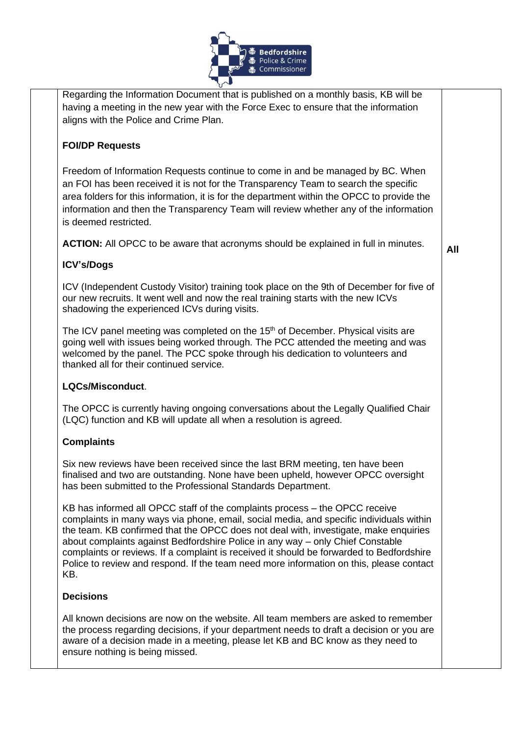

| Regarding the Information Document that is published on a monthly basis, KB will be<br>having a meeting in the new year with the Force Exec to ensure that the information<br>aligns with the Police and Crime Plan.                                                                                                                                                                                                                                                                                                                           |     |
|------------------------------------------------------------------------------------------------------------------------------------------------------------------------------------------------------------------------------------------------------------------------------------------------------------------------------------------------------------------------------------------------------------------------------------------------------------------------------------------------------------------------------------------------|-----|
| <b>FOI/DP Requests</b>                                                                                                                                                                                                                                                                                                                                                                                                                                                                                                                         |     |
| Freedom of Information Requests continue to come in and be managed by BC. When<br>an FOI has been received it is not for the Transparency Team to search the specific<br>area folders for this information, it is for the department within the OPCC to provide the<br>information and then the Transparency Team will review whether any of the information<br>is deemed restricted.                                                                                                                                                          |     |
| <b>ACTION:</b> All OPCC to be aware that acronyms should be explained in full in minutes.                                                                                                                                                                                                                                                                                                                                                                                                                                                      | All |
| <b>ICV's/Dogs</b>                                                                                                                                                                                                                                                                                                                                                                                                                                                                                                                              |     |
| ICV (Independent Custody Visitor) training took place on the 9th of December for five of<br>our new recruits. It went well and now the real training starts with the new ICVs<br>shadowing the experienced ICVs during visits.                                                                                                                                                                                                                                                                                                                 |     |
| The ICV panel meeting was completed on the 15 <sup>th</sup> of December. Physical visits are<br>going well with issues being worked through. The PCC attended the meeting and was<br>welcomed by the panel. The PCC spoke through his dedication to volunteers and<br>thanked all for their continued service.                                                                                                                                                                                                                                 |     |
| LQCs/Misconduct.                                                                                                                                                                                                                                                                                                                                                                                                                                                                                                                               |     |
| The OPCC is currently having ongoing conversations about the Legally Qualified Chair<br>(LQC) function and KB will update all when a resolution is agreed.                                                                                                                                                                                                                                                                                                                                                                                     |     |
| <b>Complaints</b>                                                                                                                                                                                                                                                                                                                                                                                                                                                                                                                              |     |
| Six new reviews have been received since the last BRM meeting, ten have been<br>finalised and two are outstanding. None have been upheld, however OPCC oversight<br>has been submitted to the Professional Standards Department.                                                                                                                                                                                                                                                                                                               |     |
| KB has informed all OPCC staff of the complaints process – the OPCC receive<br>complaints in many ways via phone, email, social media, and specific individuals within<br>the team. KB confirmed that the OPCC does not deal with, investigate, make enquiries<br>about complaints against Bedfordshire Police in any way - only Chief Constable<br>complaints or reviews. If a complaint is received it should be forwarded to Bedfordshire<br>Police to review and respond. If the team need more information on this, please contact<br>KB. |     |
| <b>Decisions</b>                                                                                                                                                                                                                                                                                                                                                                                                                                                                                                                               |     |
| All known decisions are now on the website. All team members are asked to remember<br>the process regarding decisions, if your department needs to draft a decision or you are<br>aware of a decision made in a meeting, please let KB and BC know as they need to                                                                                                                                                                                                                                                                             |     |

ensure nothing is being missed.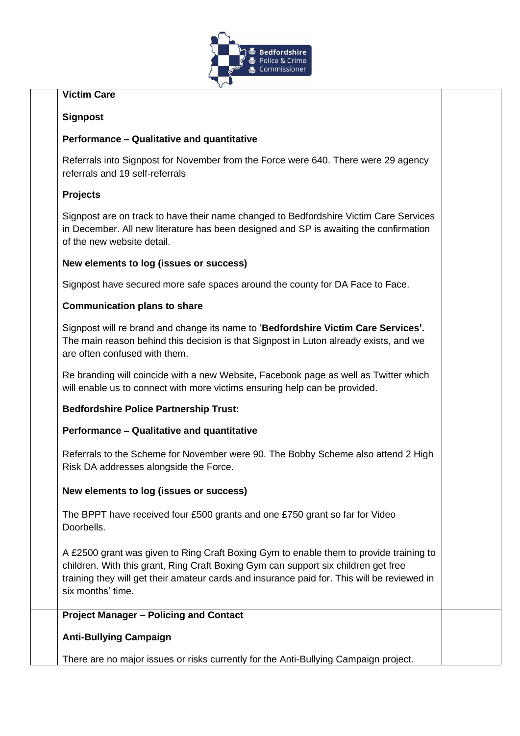

## **Victim Care**

## **Signpost**

## **Performance – Qualitative and quantitative**

Referrals into Signpost for November from the Force were 640. There were 29 agency referrals and 19 self-referrals

## **Projects**

Signpost are on track to have their name changed to Bedfordshire Victim Care Services in December. All new literature has been designed and SP is awaiting the confirmation of the new website detail.

## **New elements to log (issues or success)**

Signpost have secured more safe spaces around the county for DA Face to Face.

## **Communication plans to share**

Signpost will re brand and change its name to '**Bedfordshire Victim Care Services'.** The main reason behind this decision is that Signpost in Luton already exists, and we are often confused with them.

Re branding will coincide with a new Website, Facebook page as well as Twitter which will enable us to connect with more victims ensuring help can be provided.

## **Bedfordshire Police Partnership Trust:**

## **Performance – Qualitative and quantitative**

Referrals to the Scheme for November were 90. The Bobby Scheme also attend 2 High Risk DA addresses alongside the Force.

## **New elements to log (issues or success)**

The BPPT have received four £500 grants and one £750 grant so far for Video Doorbells.

A £2500 grant was given to Ring Craft Boxing Gym to enable them to provide training to children. With this grant, Ring Craft Boxing Gym can support six children get free training they will get their amateur cards and insurance paid for. This will be reviewed in six months' time.

## **Project Manager – Policing and Contact**

**Anti-Bullying Campaign**

There are no major issues or risks currently for the Anti-Bullying Campaign project.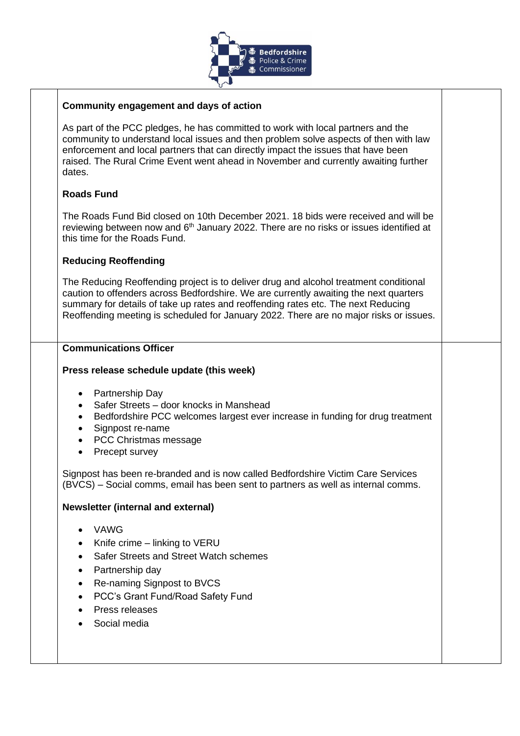

#### **Community engagement and days of action**

As part of the PCC pledges, he has committed to work with local partners and the community to understand local issues and then problem solve aspects of then with law enforcement and local partners that can directly impact the issues that have been raised. The Rural Crime Event went ahead in November and currently awaiting further dates.

## **Roads Fund**

The Roads Fund Bid closed on 10th December 2021. 18 bids were received and will be reviewing between now and 6<sup>th</sup> January 2022. There are no risks or issues identified at this time for the Roads Fund.

## **Reducing Reoffending**

The Reducing Reoffending project is to deliver drug and alcohol treatment conditional caution to offenders across Bedfordshire. We are currently awaiting the next quarters summary for details of take up rates and reoffending rates etc. The next Reducing Reoffending meeting is scheduled for January 2022. There are no major risks or issues.

#### **Communications Officer**

#### **Press release schedule update (this week)**

- Partnership Day
- Safer Streets door knocks in Manshead
- Bedfordshire PCC welcomes largest ever increase in funding for drug treatment
- Signpost re-name
- PCC Christmas message
- Precept survey

Signpost has been re-branded and is now called Bedfordshire Victim Care Services (BVCS) – Social comms, email has been sent to partners as well as internal comms.

#### **Newsletter (internal and external)**

- VAWG
- Knife crime linking to VERU
- Safer Streets and Street Watch schemes
- Partnership day
- Re-naming Signpost to BVCS
- PCC's Grant Fund/Road Safety Fund
- Press releases
- Social media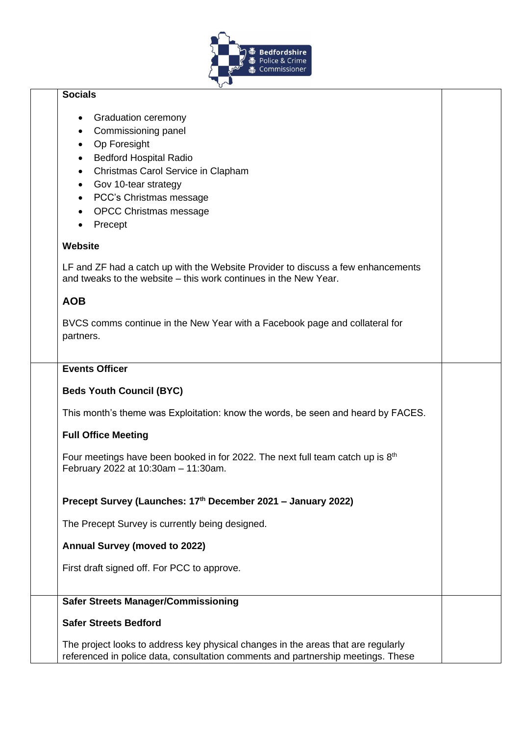

# **Socials**  • Graduation ceremony • Commissioning panel • Op Foresight • Bedford Hospital Radio • Christmas Carol Service in Clapham • Gov 10-tear strategy • PCC's Christmas message • OPCC Christmas message • Precept **Website**  LF and ZF had a catch up with the Website Provider to discuss a few enhancements and tweaks to the website – this work continues in the New Year. **AOB** BVCS comms continue in the New Year with a Facebook page and collateral for partners. **Events Officer Beds Youth Council (BYC)**  This month's theme was Exploitation: know the words, be seen and heard by FACES. **Full Office Meeting**  Four meetings have been booked in for 2022. The next full team catch up is  $8<sup>th</sup>$ February 2022 at 10:30am – 11:30am. **Precept Survey (Launches: 17th December 2021 – January 2022)**  The Precept Survey is currently being designed. **Annual Survey (moved to 2022)** First draft signed off. For PCC to approve. **Safer Streets Manager/Commissioning Safer Streets Bedford** The project looks to address key physical changes in the areas that are regularly referenced in police data, consultation comments and partnership meetings. These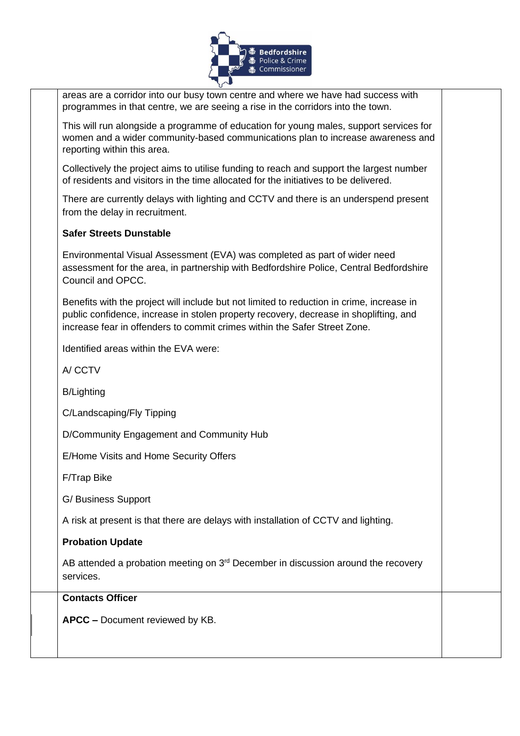

areas are a corridor into our busy town centre and where we have had success with programmes in that centre, we are seeing a rise in the corridors into the town.

This will run alongside a programme of education for young males, support services for women and a wider community-based communications plan to increase awareness and reporting within this area.

Collectively the project aims to utilise funding to reach and support the largest number of residents and visitors in the time allocated for the initiatives to be delivered.

There are currently delays with lighting and CCTV and there is an underspend present from the delay in recruitment.

## **Safer Streets Dunstable**

Environmental Visual Assessment (EVA) was completed as part of wider need assessment for the area, in partnership with Bedfordshire Police, Central Bedfordshire Council and OPCC.

Benefits with the project will include but not limited to reduction in crime, increase in public confidence, increase in stolen property recovery, decrease in shoplifting, and increase fear in offenders to commit crimes within the Safer Street Zone.

Identified areas within the EVA were:

A/ CCTV

B/Lighting

C/Landscaping/Fly Tipping

D/Community Engagement and Community Hub

E/Home Visits and Home Security Offers

F/Trap Bike

G/ Business Support

A risk at present is that there are delays with installation of CCTV and lighting.

#### **Probation Update**

AB attended a probation meeting on  $3<sup>rd</sup>$  December in discussion around the recovery services.

#### **Contacts Officer**

**APCC –** Document reviewed by KB.